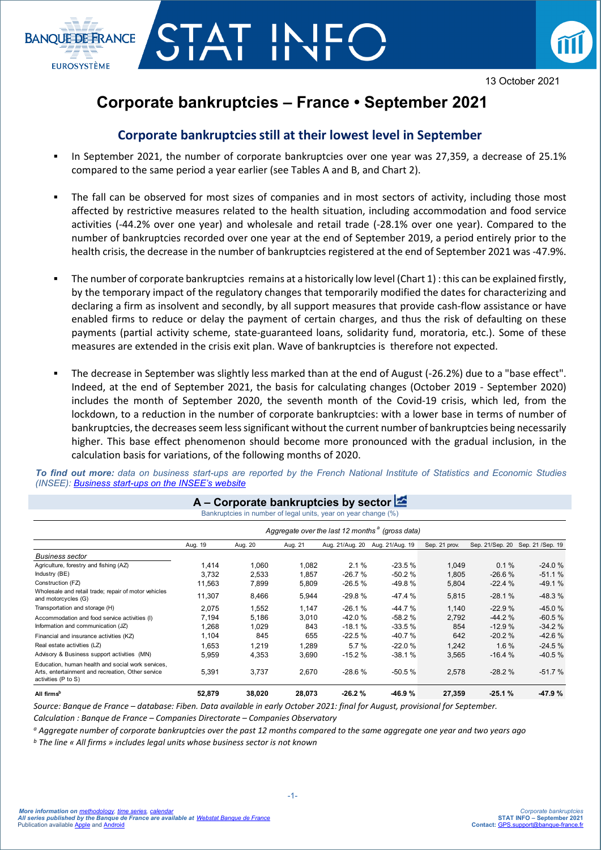

13 October 2021

# **Corporate bankruptcies – France • September 2021**

STAT IN

**BANQUE DE FRANCE** 

**EUROSYSTÈME** 

### **Corporate bankruptciesstill at their lowest level in September**

- In September 2021, the number of corporate bankruptcies over one year was 27,359, a decrease of 25.1% compared to the same period a year earlier (see Tables A and B, and Chart 2).
- The fall can be observed for most sizes of companies and in most sectors of activity, including those most affected by restrictive measures related to the health situation, including accommodation and food service activities (-44.2% over one year) and wholesale and retail trade (-28.1% over one year). Compared to the number of bankruptcies recorded over one year at the end of September 2019, a period entirely prior to the health crisis, the decrease in the number of bankruptcies registered at the end of September 2021 was -47.9%.
- The number of corporate bankruptcies remains at a historically low level (Chart 1) : this can be explained firstly, by the temporary impact of the regulatory changes that temporarily modified the dates for characterizing and declaring a firm as insolvent and secondly, by all support measures that provide cash-flow assistance or have enabled firms to reduce or delay the payment of certain charges, and thus the risk of defaulting on these payments (partial activity scheme, state-guaranteed loans, solidarity fund, moratoria, etc.). Some of these measures are extended in the crisis exit plan. Wave of bankruptcies is therefore not expected.
- The decrease in September was slightly less marked than at the end of August (-26.2%) due to a "base effect". Indeed, at the end of September 2021, the basis for calculating changes (October 2019 - September 2020) includes the month of September 2020, the seventh month of the Covid-19 crisis, which led, from the lockdown, to a reduction in the number of corporate bankruptcies: with a lower base in terms of number of bankruptcies, the decreasesseem less significant without the current number of bankruptcies being necessarily higher. This base effect phenomenon should become more pronounced with the gradual inclusion, in the calculation basis for variations, of the following months of 2020.

*To find out more: data on business start-ups are reported by the French National Institute of Statistics and Economic Studies (INSEE): [Business start-ups on the INSEE's website](https://www.insee.fr/en/statistiques/5424892)*

| Bankruptcies in number of legal units, year on year change (%)                                                                |                                                             |         |         |          |                                 |               |                 |                   |  |  |  |
|-------------------------------------------------------------------------------------------------------------------------------|-------------------------------------------------------------|---------|---------|----------|---------------------------------|---------------|-----------------|-------------------|--|--|--|
|                                                                                                                               | Aggregate over the last 12 months <sup>a</sup> (gross data) |         |         |          |                                 |               |                 |                   |  |  |  |
|                                                                                                                               | Aug. 19                                                     | Aug. 20 | Aug. 21 |          | Aug. 21/Aug. 20 Aug. 21/Aug. 19 | Sep. 21 prov. | Sep. 21/Sep. 20 | Sep. 21 / Sep. 19 |  |  |  |
| <b>Business sector</b>                                                                                                        |                                                             |         |         |          |                                 |               |                 |                   |  |  |  |
| Agriculture, forestry and fishing (AZ)                                                                                        | 1,414                                                       | 1.060   | 1,082   | 2.1%     | $-23.5%$                        | 1,049         | 0.1%            | $-24.0%$          |  |  |  |
| Industry (BE)                                                                                                                 | 3,732                                                       | 2,533   | 1,857   | -26.7 %  | $-50.2%$                        | 1,805         | $-26.6%$        | $-51.1%$          |  |  |  |
| Construction (FZ)                                                                                                             | 11,563                                                      | 7,899   | 5,809   | -26.5 %  | -49.8 %                         | 5,804         | $-22.4%$        | $-49.1%$          |  |  |  |
| Wholesale and retail trade; repair of motor vehicles<br>and motorcycles (G)                                                   | 11,307                                                      | 8,466   | 5,944   | $-29.8%$ | $-47.4%$                        | 5,815         | $-28.1%$        | $-48.3%$          |  |  |  |
| Transportation and storage (H)                                                                                                | 2.075                                                       | 1,552   | 1.147   | $-26.1%$ | $-44.7%$                        | 1,140         | $-22.9%$        | $-45.0%$          |  |  |  |
| Accommodation and food service activities (I)                                                                                 | 7,194                                                       | 5,186   | 3,010   | -42.0 %  | $-58.2%$                        | 2,792         | $-44.2%$        | $-60.5%$          |  |  |  |
| Information and communication (JZ)                                                                                            | 1,268                                                       | 1,029   | 843     | $-18.1%$ | $-33.5%$                        | 854           | $-12.9%$        | $-34.2%$          |  |  |  |
| Financial and insurance activities (KZ)                                                                                       | 1,104                                                       | 845     | 655     | -22.5 %  | $-40.7%$                        | 642           | $-20.2%$        | $-42.6%$          |  |  |  |
| Real estate activities (LZ)                                                                                                   | 1,653                                                       | 1,219   | 1,289   | 5.7 %    | $-22.0%$                        | 1,242         | $1.6\%$         | $-24.5%$          |  |  |  |
| Advisory & Business support activities (MN)                                                                                   | 5,959                                                       | 4,353   | 3,690   | $-15.2%$ | $-38.1%$                        | 3,565         | $-16.4%$        | $-40.5%$          |  |  |  |
| Education, human health and social work services,<br>Arts, entertainment and recreation, Other service<br>activities (P to S) | 5,391                                                       | 3,737   | 2,670   | -28.6 %  | $-50.5%$                        | 2,578         | $-28.2%$        | -51.7 %           |  |  |  |
| All firms <sup>b</sup>                                                                                                        | 52,879                                                      | 38,020  | 28,073  | $-26.2%$ | -46.9%                          | 27,359        | $-25.1%$        | $-47.9%$          |  |  |  |

**A – Corporate bankruptcies by sector**

*Source: Banque de France – database: Fiben. Data available in early October 2021: final for August, provisional for September.*

*Calculation : Banque de France – Companies Directorate – Companies Observatory*

*<sup>a</sup> Aggregate number of corporate bankruptcies over the past 12 months compared to the same aggregate one year and two years ago*

*<sup>b</sup> The line « All firms » includes legal units whose business sector is not known*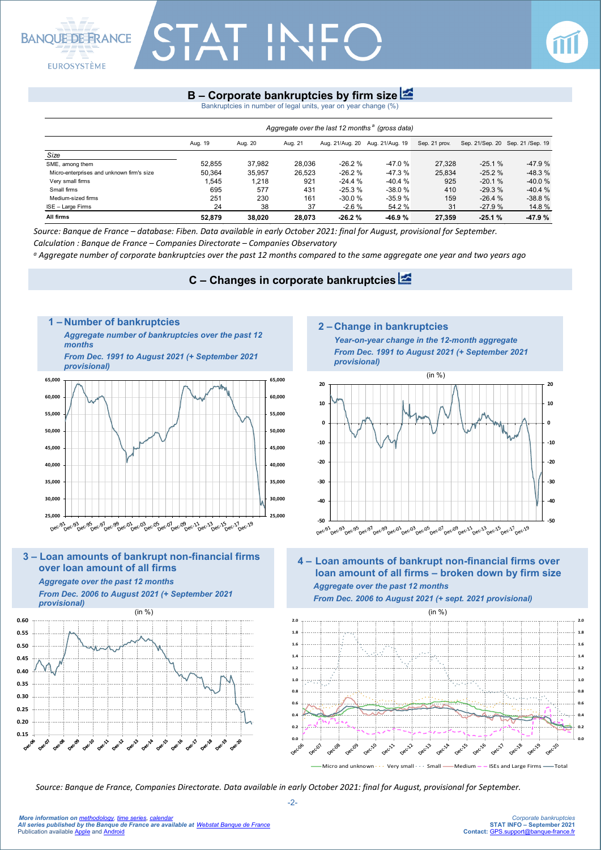## **B – Corporate bankruptcies by firm size**

Bankruptcies in number of legal units, year on year change (%)

|                                           | Aggregate over the last 12 months <sup>a</sup> (gross data) |         |         |                                 |          |               |          |                                  |  |  |
|-------------------------------------------|-------------------------------------------------------------|---------|---------|---------------------------------|----------|---------------|----------|----------------------------------|--|--|
|                                           | Aug. 19                                                     | Aug. 20 | Aug. 21 | Aug. 21/Aug. 20 Aug. 21/Aug. 19 |          | Sep. 21 prov. |          | Sep. 21/Sep. 20 Sep. 21 /Sep. 19 |  |  |
| Size                                      |                                                             |         |         |                                 |          |               |          |                                  |  |  |
| SME, among them                           | 52.855                                                      | 37.982  | 28.036  | $-26.2%$                        | $-47.0%$ | 27.328        | $-25.1%$ | $-47.9%$                         |  |  |
| Micro-enterprises and unknown firm's size | 50.364                                                      | 35.957  | 26.523  | $-26.2%$                        | $-47.3%$ | 25.834        | $-25.2%$ | $-48.3%$                         |  |  |
| Very small firms                          | .545                                                        | 1.218   | 921     | $-24.4%$                        | $-40.4%$ | 925           | $-20.1%$ | $-40.0%$                         |  |  |
| Small firms                               | 695                                                         | 577     | 431     | $-25.3%$                        | $-38.0%$ | 410           | $-29.3%$ | $-40.4%$                         |  |  |
| Medium-sized firms                        | 251                                                         | 230     | 161     | $-30.0%$                        | $-35.9%$ | 159           | $-26.4%$ | $-38.8%$                         |  |  |
| ISE - Large Firms                         | 24                                                          | 38      | 37      | $-2.6%$                         | 54.2 %   | 31            | $-27.9%$ | 14.8%                            |  |  |
| All firms                                 | 52.879                                                      | 38.020  | 28.073  | $-26.2%$                        | $-46.9%$ | 27,359        | $-25.1%$ | $-47.9%$                         |  |  |

*Source: Banque de France – database: Fiben. Data available in early October 2021: final for August, provisional for September.*

*Calculation : Banque de France – Companies Directorate – Companies Observatory*

STAT IN

*Aggregate number of bankruptcies over the past 12* 

*From Dec. 1991 to August 2021 (+ September 2021* 

*<sup>a</sup> Aggregate number of corporate bankruptcies over the past 12 months compared to the same aggregate one year and two years ago*

**C – Changes in corporate bankruptcies**



**1 – Number of bankruptcies**

*months*

**BANQUE DE FRANCE** 

**EUROSYSTÈME** 

**0.15 0.20 0.25 0.30** *provisional)*

#### **2 – Change in bankruptcies**

*Year-on-year change in the 12-month aggregate From Dec. 1991 to August 2021 (+ September 2021 provisional)*



#### **4 – Loan amounts of bankrupt non-financial firms over loan amount of all firms – broken down by firm size** *Aggregate over the past 12 months*

*From Dec. 2006 to August 2021 (+ sept. 2021 provisional)*



*Source: Banque de France, Companies Directorate. Data available in early October 2021: final for August, provisional for September.*

sers series and series and series and series and series and series and